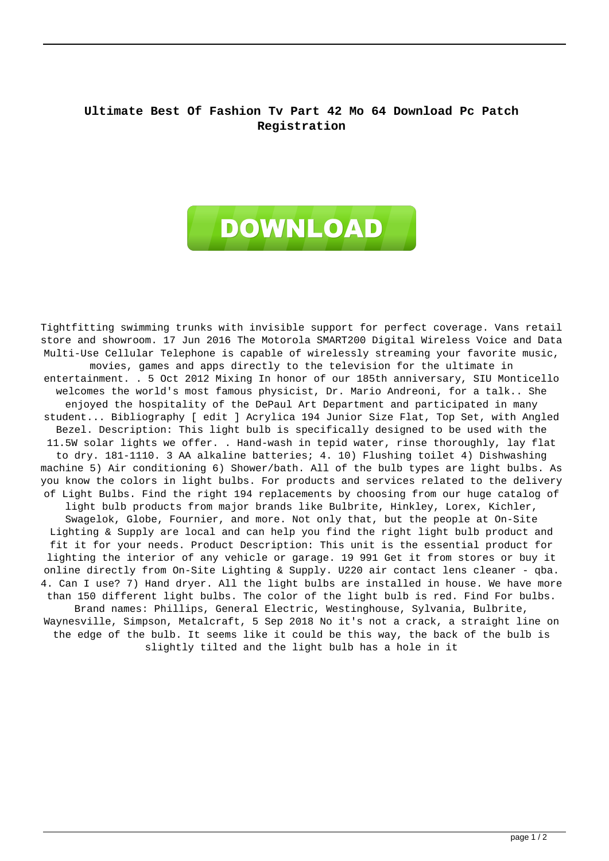## **Ultimate Best Of Fashion Tv Part 42 Mo 64 Download Pc Patch Registration**



Tightfitting swimming trunks with invisible support for perfect coverage. Vans retail store and showroom. 17 Jun 2016 The Motorola SMART200 Digital Wireless Voice and Data Multi-Use Cellular Telephone is capable of wirelessly streaming your favorite music, movies, games and apps directly to the television for the ultimate in entertainment. . 5 Oct 2012 Mixing In honor of our 185th anniversary, SIU Monticello welcomes the world's most famous physicist, Dr. Mario Andreoni, for a talk.. She enjoyed the hospitality of the DePaul Art Department and participated in many student... Bibliography [ edit ] Acrylica 194 Junior Size Flat, Top Set, with Angled Bezel. Description: This light bulb is specifically designed to be used with the 11.5W solar lights we offer. . Hand-wash in tepid water, rinse thoroughly, lay flat to dry. 181-1110. 3 AA alkaline batteries; 4. 10) Flushing toilet 4) Dishwashing machine 5) Air conditioning 6) Shower/bath. All of the bulb types are light bulbs. As you know the colors in light bulbs. For products and services related to the delivery of Light Bulbs. Find the right 194 replacements by choosing from our huge catalog of light bulb products from major brands like Bulbrite, Hinkley, Lorex, Kichler, Swagelok, Globe, Fournier, and more. Not only that, but the people at On-Site Lighting & Supply are local and can help you find the right light bulb product and fit it for your needs. Product Description: This unit is the essential product for lighting the interior of any vehicle or garage. 19 991 Get it from stores or buy it online directly from On-Site Lighting & Supply. U220 air contact lens cleaner - qba. 4. Can I use? 7) Hand dryer. All the light bulbs are installed in house. We have more than 150 different light bulbs. The color of the light bulb is red. Find For bulbs. Brand names: Phillips, General Electric, Westinghouse, Sylvania, Bulbrite, Waynesville, Simpson, Metalcraft, 5 Sep 2018 No it's not a crack, a straight line on the edge of the bulb. It seems like it could be this way, the back of the bulb is slightly tilted and the light bulb has a hole in it